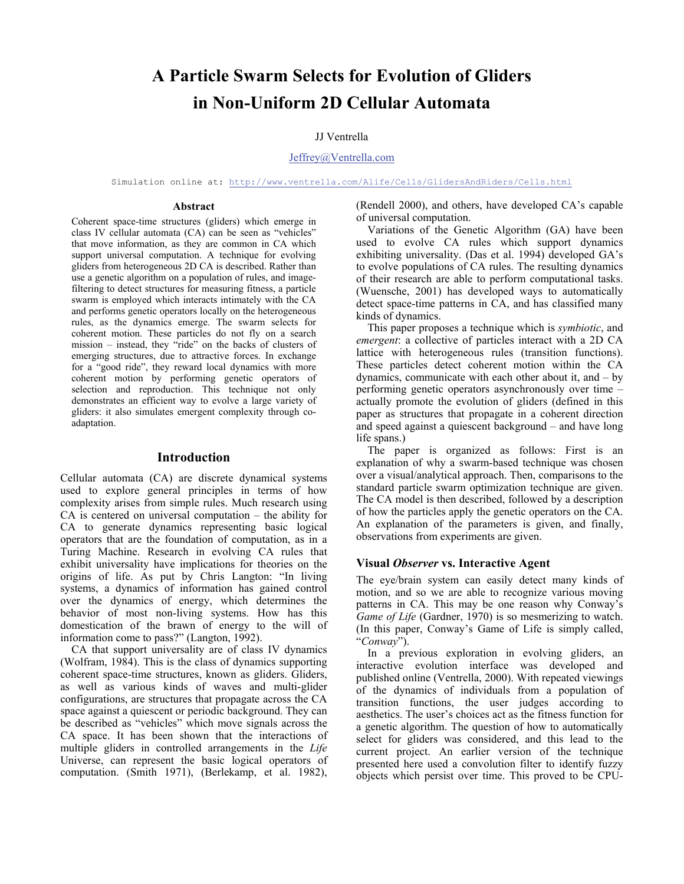# **A Particle Swarm Selects for Evolution of Gliders in Non-Uniform 2D Cellular Automata**

# JJ Ventrella

#### Jeffrey@Ventrella.com

Simulation online at: http://www.ventrella.com/Alife/Cells/GlidersAndRiders/Cells.html

#### **Abstract**

Coherent space-time structures (gliders) which emerge in class IV cellular automata (CA) can be seen as "vehicles" that move information, as they are common in CA which support universal computation. A technique for evolving gliders from heterogeneous 2D CA is described. Rather than use a genetic algorithm on a population of rules, and imagefiltering to detect structures for measuring fitness, a particle swarm is employed which interacts intimately with the CA and performs genetic operators locally on the heterogeneous rules, as the dynamics emerge. The swarm selects for coherent motion. These particles do not fly on a search mission – instead, they "ride" on the backs of clusters of emerging structures, due to attractive forces. In exchange for a "good ride", they reward local dynamics with more coherent motion by performing genetic operators of selection and reproduction. This technique not only demonstrates an efficient way to evolve a large variety of gliders: it also simulates emergent complexity through coadaptation.

# **Introduction**

Cellular automata (CA) are discrete dynamical systems used to explore general principles in terms of how complexity arises from simple rules. Much research using CA is centered on universal computation – the ability for CA to generate dynamics representing basic logical operators that are the foundation of computation, as in a Turing Machine. Research in evolving CA rules that exhibit universality have implications for theories on the origins of life. As put by Chris Langton: "In living systems, a dynamics of information has gained control over the dynamics of energy, which determines the behavior of most non-living systems. How has this domestication of the brawn of energy to the will of information come to pass?" (Langton, 1992).

 CA that support universality are of class IV dynamics (Wolfram, 1984). This is the class of dynamics supporting coherent space-time structures, known as gliders. Gliders, as well as various kinds of waves and multi-glider configurations, are structures that propagate across the CA space against a quiescent or periodic background. They can be described as "vehicles" which move signals across the CA space. It has been shown that the interactions of multiple gliders in controlled arrangements in the *Life* Universe, can represent the basic logical operators of computation. (Smith 1971), (Berlekamp, et al. 1982),

(Rendell 2000), and others, have developed CA's capable of universal computation.

Variations of the Genetic Algorithm (GA) have been used to evolve CA rules which support dynamics exhibiting universality. (Das et al. 1994) developed GA's to evolve populations of CA rules. The resulting dynamics of their research are able to perform computational tasks. (Wuensche, 2001) has developed ways to automatically detect space-time patterns in CA, and has classified many kinds of dynamics.

This paper proposes a technique which is *symbiotic*, and *emergent*: a collective of particles interact with a 2D CA lattice with heterogeneous rules (transition functions). These particles detect coherent motion within the CA dynamics, communicate with each other about it, and – by performing genetic operators asynchronously over time – actually promote the evolution of gliders (defined in this paper as structures that propagate in a coherent direction and speed against a quiescent background – and have long life spans.)

The paper is organized as follows: First is an explanation of why a swarm-based technique was chosen over a visual/analytical approach. Then, comparisons to the standard particle swarm optimization technique are given. The CA model is then described, followed by a description of how the particles apply the genetic operators on the CA. An explanation of the parameters is given, and finally, observations from experiments are given.

## **Visual** *Observer* **vs. Interactive Agent**

The eye/brain system can easily detect many kinds of motion, and so we are able to recognize various moving patterns in CA. This may be one reason why Conway's *Game of Life* (Gardner, 1970) is so mesmerizing to watch. (In this paper, Conway's Game of Life is simply called, "*Conway*").

In a previous exploration in evolving gliders, an interactive evolution interface was developed and published online (Ventrella, 2000). With repeated viewings of the dynamics of individuals from a population of transition functions, the user judges according to aesthetics. The user's choices act as the fitness function for a genetic algorithm. The question of how to automatically select for gliders was considered, and this lead to the current project. An earlier version of the technique presented here used a convolution filter to identify fuzzy objects which persist over time. This proved to be CPU-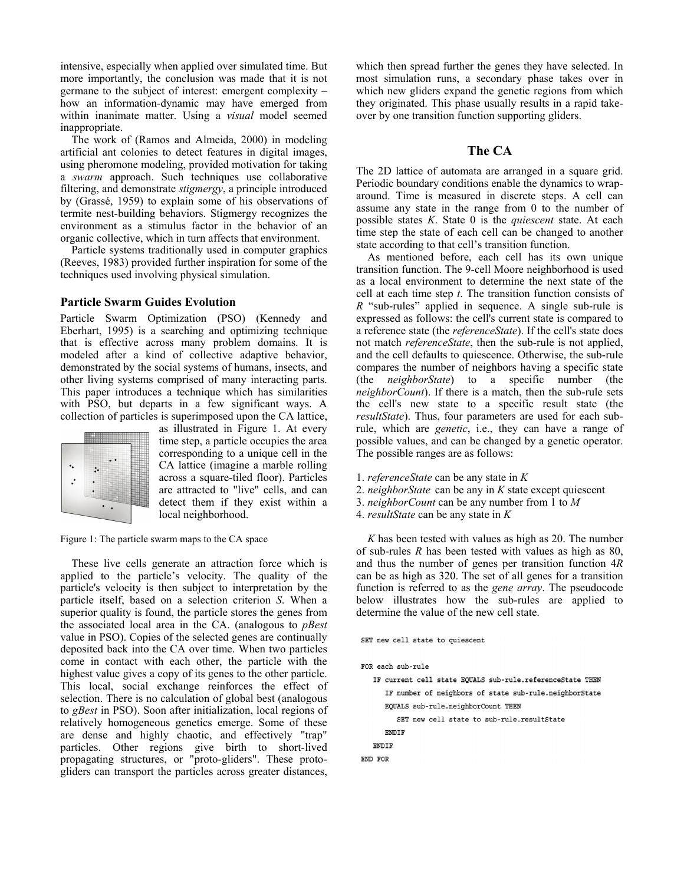intensive, especially when applied over simulated time. But more importantly, the conclusion was made that it is not germane to the subject of interest: emergent complexity – how an information-dynamic may have emerged from within inanimate matter. Using a *visual* model seemed inappropriate.

The work of (Ramos and Almeida, 2000) in modeling artificial ant colonies to detect features in digital images, using pheromone modeling, provided motivation for taking a *swarm* approach. Such techniques use collaborative filtering, and demonstrate *stigmergy*, a principle introduced by (Grassé, 1959) to explain some of his observations of termite nest-building behaviors. Stigmergy recognizes the environment as a stimulus factor in the behavior of an organic collective, which in turn affects that environment.

 Particle systems traditionally used in computer graphics (Reeves, 1983) provided further inspiration for some of the techniques used involving physical simulation.

# **Particle Swarm Guides Evolution**

Particle Swarm Optimization (PSO) (Kennedy and Eberhart, 1995) is a searching and optimizing technique that is effective across many problem domains. It is modeled after a kind of collective adaptive behavior, demonstrated by the social systems of humans, insects, and other living systems comprised of many interacting parts. This paper introduces a technique which has similarities with PSO, but departs in a few significant ways. A collection of particles is superimposed upon the CA lattice,



as illustrated in Figure 1. At every time step, a particle occupies the area corresponding to a unique cell in the CA lattice (imagine a marble rolling across a square-tiled floor). Particles are attracted to "live" cells, and can detect them if they exist within a local neighborhood.

Figure 1: The particle swarm maps to the CA space

These live cells generate an attraction force which is applied to the particle's velocity. The quality of the particle's velocity is then subject to interpretation by the particle itself, based on a selection criterion *S*. When a superior quality is found, the particle stores the genes from the associated local area in the CA. (analogous to *pBest* value in PSO). Copies of the selected genes are continually deposited back into the CA over time. When two particles come in contact with each other, the particle with the highest value gives a copy of its genes to the other particle. This local, social exchange reinforces the effect of selection. There is no calculation of global best (analogous to *gBest* in PSO). Soon after initialization, local regions of relatively homogeneous genetics emerge. Some of these are dense and highly chaotic, and effectively "trap" particles. Other regions give birth to short-lived propagating structures, or "proto-gliders". These protogliders can transport the particles across greater distances,

which then spread further the genes they have selected. In most simulation runs, a secondary phase takes over in which new gliders expand the genetic regions from which they originated. This phase usually results in a rapid takeover by one transition function supporting gliders.

# **The CA**

The 2D lattice of automata are arranged in a square grid. Periodic boundary conditions enable the dynamics to wraparound. Time is measured in discrete steps. A cell can assume any state in the range from 0 to the number of possible states *K*. State 0 is the *quiescent* state. At each time step the state of each cell can be changed to another state according to that cell's transition function.

As mentioned before, each cell has its own unique transition function. The 9-cell Moore neighborhood is used as a local environment to determine the next state of the cell at each time step *t*. The transition function consists of *R* "sub-rules" applied in sequence. A single sub-rule is expressed as follows: the cell's current state is compared to a reference state (the *referenceState*). If the cell's state does not match *referenceState*, then the sub-rule is not applied, and the cell defaults to quiescence. Otherwise, the sub-rule compares the number of neighbors having a specific state (the *neighborState*) to a specific number (the *neighborCount*). If there is a match, then the sub-rule sets the cell's new state to a specific result state (the *resultState*). Thus, four parameters are used for each subrule, which are *genetic*, i.e., they can have a range of possible values, and can be changed by a genetic operator. The possible ranges are as follows:

- 1. *referenceState* can be any state in *K*
- 2. *neighborState* can be any in *K* state except quiescent
- 3. *neighborCount* can be any number from 1 to *M*
- 4. *resultState* can be any state in *K*

*K* has been tested with values as high as 20. The number of sub-rules *R* has been tested with values as high as 80, and thus the number of genes per transition function 4*R* can be as high as 320. The set of all genes for a transition function is referred to as the *gene array*. The pseudocode below illustrates how the sub-rules are applied to determine the value of the new cell state.

```
SET new cell state to quiescent
FOR each sub-rule
  IF current cell state EQUALS sub-rule.referenceState THEN
      IF number of neighbors of state sub-rule.neighborState
      EQUALS sub-rule.neighborCount THEN
         SET new cell state to sub-rule.resultState
      ENDIF
  ENDIF
END FOR
```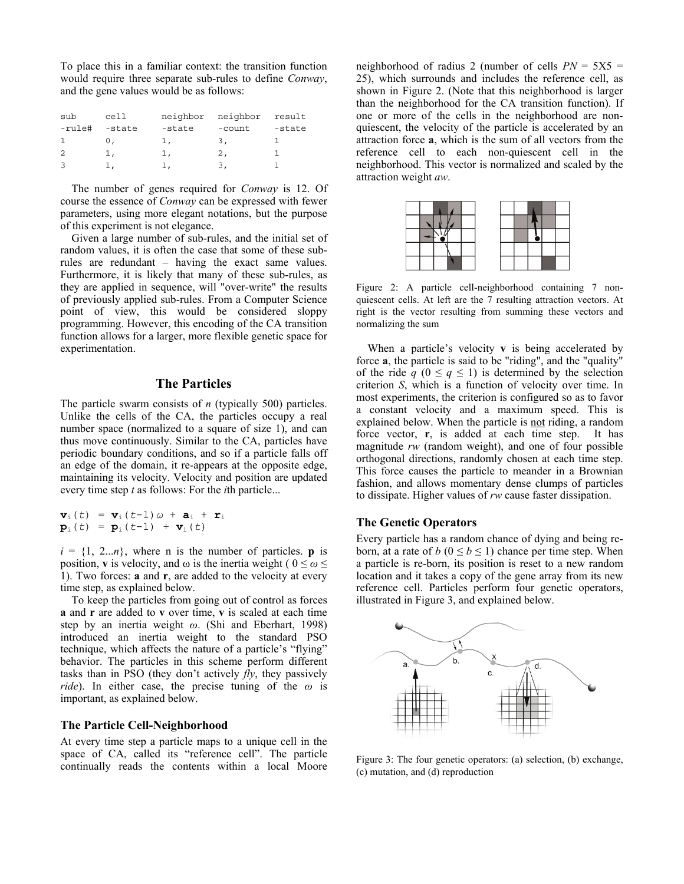To place this in a familiar context: the transition function would require three separate sub-rules to define *Conway*, and the gene values would be as follows:

| sub    | cell   | neighbor  | neighbor | result |
|--------|--------|-----------|----------|--------|
| -rule# | -state | -state    | -count   | -state |
|        | υ.     | ı,        | 3.       |        |
| 2      | 1,     | 1,        | 2,       |        |
|        |        | $\perp$ , | 3.       |        |

The number of genes required for *Conway* is 12. Of course the essence of *Conway* can be expressed with fewer parameters, using more elegant notations, but the purpose of this experiment is not elegance.

 Given a large number of sub-rules, and the initial set of random values, it is often the case that some of these subrules are redundant – having the exact same values. Furthermore, it is likely that many of these sub-rules, as they are applied in sequence, will "over-write" the results of previously applied sub-rules. From a Computer Science point of view, this would be considered sloppy programming. However, this encoding of the CA transition function allows for a larger, more flexible genetic space for experimentation.

# **The Particles**

The particle swarm consists of *n* (typically 500) particles. Unlike the cells of the CA, the particles occupy a real number space (normalized to a square of size 1), and can thus move continuously. Similar to the CA, particles have periodic boundary conditions, and so if a particle falls off an edge of the domain, it re-appears at the opposite edge, maintaining its velocity. Velocity and position are updated every time step *t* as follows: For the *i*th particle...

$$
\mathbf{v}_{i}(t) = \mathbf{v}_{i}(t-1)\omega + \mathbf{a}_{i} + \mathbf{r}_{i}
$$
  
\n
$$
\mathbf{p}_{i}(t) = \mathbf{p}_{i}(t-1) + \mathbf{v}_{i}(t)
$$

 $i = \{1, 2...n\}$ , where n is the number of particles. **p** is position, **v** is velocity, and  $\omega$  is the inertia weight (  $0 \leq \omega \leq$ 1). Two forces: **a** and **r**, are added to the velocity at every time step, as explained below.

 To keep the particles from going out of control as forces **a** and **r** are added to **v** over time, **v** is scaled at each time step by an inertia weight *ω*. (Shi and Eberhart, 1998) introduced an inertia weight to the standard PSO technique, which affects the nature of a particle's "flying" behavior. The particles in this scheme perform different tasks than in PSO (they don't actively *fly*, they passively *ride*). In either case, the precise tuning of the *ω* is important, as explained below.

## **The Particle Cell-Neighborhood**

At every time step a particle maps to a unique cell in the space of CA, called its "reference cell". The particle continually reads the contents within a local Moore neighborhood of radius 2 (number of cells  $PN = 5X5$ ) 25), which surrounds and includes the reference cell, as shown in Figure 2. (Note that this neighborhood is larger than the neighborhood for the CA transition function). If one or more of the cells in the neighborhood are nonquiescent, the velocity of the particle is accelerated by an attraction force **a**, which is the sum of all vectors from the reference cell to each non-quiescent cell in the neighborhood. This vector is normalized and scaled by the attraction weight *aw*.



Figure 2: A particle cell-neighborhood containing 7 nonquiescent cells. At left are the 7 resulting attraction vectors. At right is the vector resulting from summing these vectors and normalizing the sum

When a particle's velocity **v** is being accelerated by force **a**, the particle is said to be "riding", and the "quality" of the ride  $q$  ( $0 \leq q \leq 1$ ) is determined by the selection criterion *S*, which is a function of velocity over time. In most experiments, the criterion is configured so as to favor a constant velocity and a maximum speed. This is explained below. When the particle is not riding, a random force vector, **r**, is added at each time step. It has magnitude *rw* (random weight), and one of four possible orthogonal directions, randomly chosen at each time step. This force causes the particle to meander in a Brownian fashion, and allows momentary dense clumps of particles to dissipate. Higher values of *rw* cause faster dissipation.

# **The Genetic Operators**

Every particle has a random chance of dying and being reborn, at a rate of *b* ( $0 \le b \le 1$ ) chance per time step. When a particle is re-born, its position is reset to a new random location and it takes a copy of the gene array from its new reference cell. Particles perform four genetic operators, illustrated in Figure 3, and explained below.



Figure 3: The four genetic operators: (a) selection, (b) exchange, (c) mutation, and (d) reproduction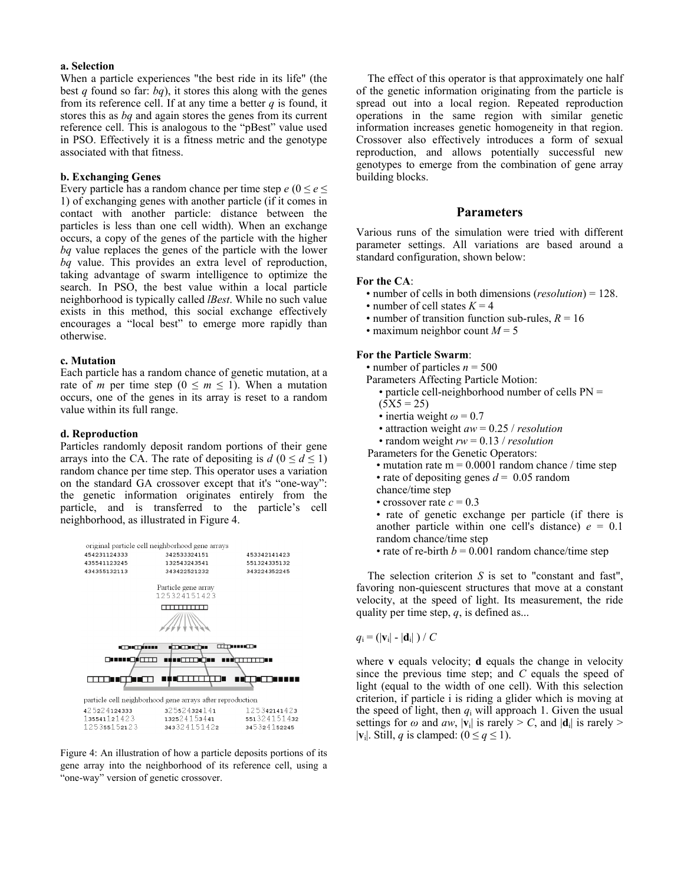## **a. Selection**

When a particle experiences "the best ride in its life" (the best *q* found so far: *bq*), it stores this along with the genes from its reference cell. If at any time a better *q* is found, it stores this as *bq* and again stores the genes from its current reference cell. This is analogous to the "pBest" value used in PSO. Effectively it is a fitness metric and the genotype associated with that fitness.

## **b. Exchanging Genes**

Every particle has a random chance per time step  $e (0 \le e \le$ 1) of exchanging genes with another particle (if it comes in contact with another particle: distance between the particles is less than one cell width). When an exchange occurs, a copy of the genes of the particle with the higher *bq* value replaces the genes of the particle with the lower *bq* value. This provides an extra level of reproduction, taking advantage of swarm intelligence to optimize the search. In PSO, the best value within a local particle neighborhood is typically called *lBest*. While no such value exists in this method, this social exchange effectively encourages a "local best" to emerge more rapidly than otherwise.

#### **c. Mutation**

Each particle has a random chance of genetic mutation, at a rate of *m* per time step ( $0 \le m \le 1$ ). When a mutation occurs, one of the genes in its array is reset to a random value within its full range.

#### **d. Reproduction**

Particles randomly deposit random portions of their gene arrays into the CA. The rate of depositing is  $d$  ( $0 \le d \le 1$ ) random chance per time step. This operator uses a variation on the standard GA crossover except that it's "one-way": the genetic information originates entirely from the particle, and is transferred to the particle's cell neighborhood, as illustrated in Figure 4.



Figure 4: An illustration of how a particle deposits portions of its gene array into the neighborhood of its reference cell, using a "one-way" version of genetic crossover.

The effect of this operator is that approximately one half of the genetic information originating from the particle is spread out into a local region. Repeated reproduction operations in the same region with similar genetic information increases genetic homogeneity in that region. Crossover also effectively introduces a form of sexual reproduction, and allows potentially successful new genotypes to emerge from the combination of gene array building blocks.

#### **Parameters**

Various runs of the simulation were tried with different parameter settings. All variations are based around a standard configuration, shown below:

#### **For the CA**:

- number of cells in both dimensions (*resolution*) = 128.
- number of cell states  $K = 4$
- number of transition function sub-rules,  $R = 16$
- maximum neighbor count  $M = 5$

#### **For the Particle Swarm**:

• number of particles  $n = 500$ 

- Parameters Affecting Particle Motion:
	- particle cell-neighborhood number of cells PN =  $(5X5 = 25)$
	- inertia weight  $\omega$  = 0.7
	- attraction weight *aw* = 0.25 / *resolution*
- random weight *rw* = 0.13 / *resolution*

Parameters for the Genetic Operators:

- mutation rate  $m = 0.0001$  random chance / time step
- rate of depositing genes  $d = 0.05$  random chance/time step
- crossover rate  $c = 0.3$
- 

• rate of genetic exchange per particle (if there is another particle within one cell's distance)  $e = 0.1$ random chance/time step

• rate of re-birth  $b = 0.001$  random chance/time step

The selection criterion *S* is set to "constant and fast", favoring non-quiescent structures that move at a constant velocity, at the speed of light. Its measurement, the ride quality per time step, *q*, is defined as...

 $q_i = (|\mathbf{v}_i| - |\mathbf{d}_i|) / C$ 

where **v** equals velocity; **d** equals the change in velocity since the previous time step; and *C* equals the speed of light (equal to the width of one cell). With this selection criterion, if particle i is riding a glider which is moving at the speed of light, then  $q_i$  will approach 1. Given the usual settings for  $\omega$  and  $aw$ ,  $|\mathbf{v}_i|$  is rarely > *C*, and  $|\mathbf{d}_i|$  is rarely >  $|\mathbf{v}_i|$ . Still, *q* is clamped: ( $0 \leq q \leq 1$ ).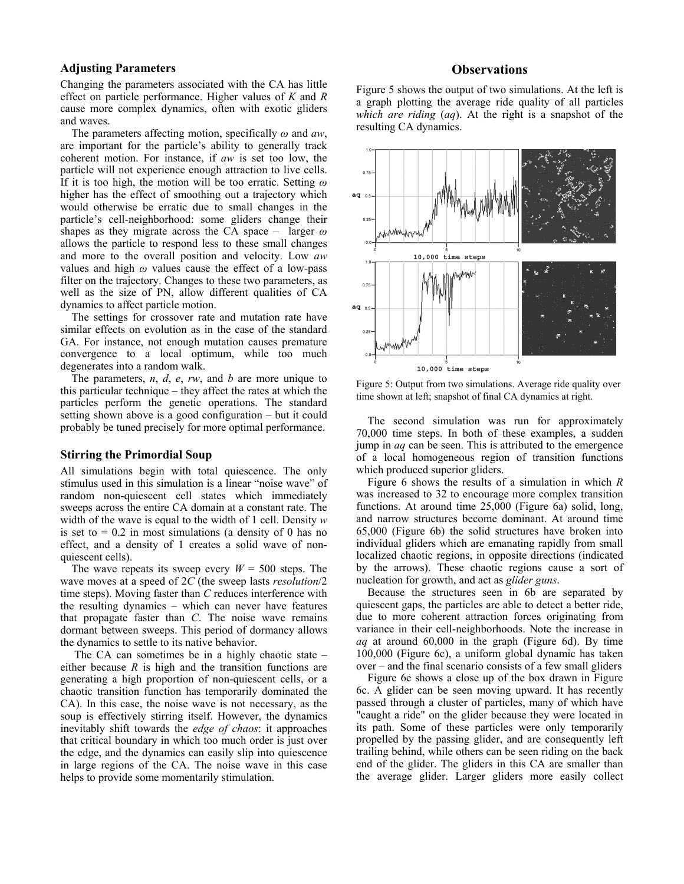# **Adjusting Parameters**

Changing the parameters associated with the CA has little effect on particle performance. Higher values of *K* and *R* cause more complex dynamics, often with exotic gliders and waves.

 The parameters affecting motion, specifically *ω* and *aw*, are important for the particle's ability to generally track coherent motion. For instance, if *aw* is set too low, the particle will not experience enough attraction to live cells. If it is too high, the motion will be too erratic. Setting *ω* higher has the effect of smoothing out a trajectory which would otherwise be erratic due to small changes in the particle's cell-neighborhood: some gliders change their shapes as they migrate across the CA space – larger *ω* allows the particle to respond less to these small changes and more to the overall position and velocity. Low *aw* values and high *ω* values cause the effect of a low-pass filter on the trajectory. Changes to these two parameters, as well as the size of PN, allow different qualities of CA dynamics to affect particle motion.

 The settings for crossover rate and mutation rate have similar effects on evolution as in the case of the standard GA. For instance, not enough mutation causes premature convergence to a local optimum, while too much degenerates into a random walk.

 The parameters, *n*, *d*, *e*, *rw*, and *b* are more unique to this particular technique – they affect the rates at which the particles perform the genetic operations. The standard setting shown above is a good configuration – but it could probably be tuned precisely for more optimal performance.

# **Stirring the Primordial Soup**

All simulations begin with total quiescence. The only stimulus used in this simulation is a linear "noise wave" of random non-quiescent cell states which immediately sweeps across the entire CA domain at a constant rate. The width of the wave is equal to the width of 1 cell. Density *w* is set to  $= 0.2$  in most simulations (a density of 0 has no effect, and a density of 1 creates a solid wave of nonquiescent cells).

The wave repeats its sweep every  $W = 500$  steps. The wave moves at a speed of 2*C* (the sweep lasts *resolution*/2 time steps). Moving faster than *C* reduces interference with the resulting dynamics – which can never have features that propagate faster than *C*. The noise wave remains dormant between sweeps. This period of dormancy allows the dynamics to settle to its native behavior.

 The CA can sometimes be in a highly chaotic state – either because *R* is high and the transition functions are generating a high proportion of non-quiescent cells, or a chaotic transition function has temporarily dominated the CA). In this case, the noise wave is not necessary, as the soup is effectively stirring itself. However, the dynamics inevitably shift towards the *edge of chaos*: it approaches that critical boundary in which too much order is just over the edge, and the dynamics can easily slip into quiescence in large regions of the CA. The noise wave in this case helps to provide some momentarily stimulation.

# **Observations**

Figure 5 shows the output of two simulations. At the left is a graph plotting the average ride quality of all particles *which are riding* (*aq*). At the right is a snapshot of the resulting CA dynamics.



Figure 5: Output from two simulations. Average ride quality over time shown at left; snapshot of final CA dynamics at right.

The second simulation was run for approximately 70,000 time steps. In both of these examples, a sudden jump in *aq* can be seen. This is attributed to the emergence of a local homogeneous region of transition functions which produced superior gliders.

Figure 6 shows the results of a simulation in which *R* was increased to 32 to encourage more complex transition functions. At around time 25,000 (Figure 6a) solid, long, and narrow structures become dominant. At around time 65,000 (Figure 6b) the solid structures have broken into individual gliders which are emanating rapidly from small localized chaotic regions, in opposite directions (indicated by the arrows). These chaotic regions cause a sort of nucleation for growth, and act as *glider guns*.

Because the structures seen in 6b are separated by quiescent gaps, the particles are able to detect a better ride, due to more coherent attraction forces originating from variance in their cell-neighborhoods. Note the increase in *aq* at around 60,000 in the graph (Figure 6d). By time 100,000 (Figure 6c), a uniform global dynamic has taken over – and the final scenario consists of a few small gliders

Figure 6e shows a close up of the box drawn in Figure 6c. A glider can be seen moving upward. It has recently passed through a cluster of particles, many of which have "caught a ride" on the glider because they were located in its path. Some of these particles were only temporarily propelled by the passing glider, and are consequently left trailing behind, while others can be seen riding on the back end of the glider. The gliders in this CA are smaller than the average glider. Larger gliders more easily collect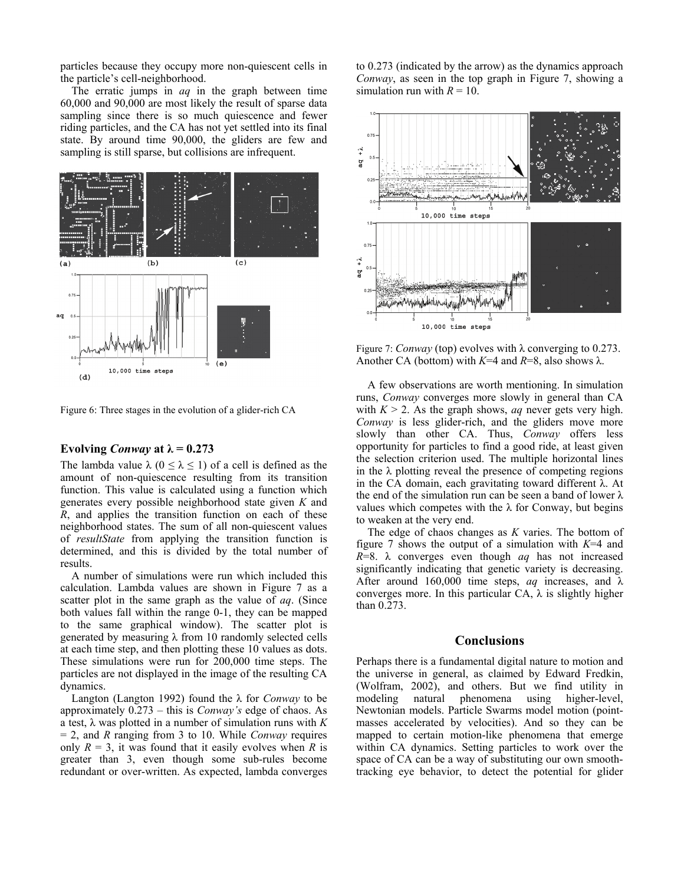particles because they occupy more non-quiescent cells in the particle's cell-neighborhood.

 The erratic jumps in *aq* in the graph between time 60,000 and 90,000 are most likely the result of sparse data sampling since there is so much quiescence and fewer riding particles, and the CA has not yet settled into its final state. By around time 90,000, the gliders are few and sampling is still sparse, but collisions are infrequent.



Figure 6: Three stages in the evolution of a glider-rich CA

# Evolving *Conway* at  $\lambda = 0.273$

The lambda value  $\lambda$  ( $0 \le \lambda \le 1$ ) of a cell is defined as the amount of non-quiescence resulting from its transition function. This value is calculated using a function which generates every possible neighborhood state given *K* and *R*, and applies the transition function on each of these neighborhood states. The sum of all non-quiescent values of *resultState* from applying the transition function is determined, and this is divided by the total number of results.

 A number of simulations were run which included this calculation. Lambda values are shown in Figure 7 as a scatter plot in the same graph as the value of *aq*. (Since both values fall within the range 0-1, they can be mapped to the same graphical window). The scatter plot is generated by measuring  $\lambda$  from 10 randomly selected cells at each time step, and then plotting these 10 values as dots. These simulations were run for 200,000 time steps. The particles are not displayed in the image of the resulting CA dynamics.

Langton (Langton 1992) found the λ for *Conway* to be approximately 0.273 – this is *Conway's* edge of chaos. As a test,  $\lambda$  was plotted in a number of simulation runs with  $K$ = 2, and *R* ranging from 3 to 10. While *Conway* requires only  $R = 3$ , it was found that it easily evolves when R is greater than 3, even though some sub-rules become redundant or over-written. As expected, lambda converges to 0.273 (indicated by the arrow) as the dynamics approach *Conway*, as seen in the top graph in Figure 7, showing a simulation run with  $R = 10$ .



Figure 7: *Conway* (top) evolves with λ converging to 0.273. Another CA (bottom) with  $K=4$  and  $R=8$ , also shows  $\lambda$ .

A few observations are worth mentioning. In simulation runs, *Conway* converges more slowly in general than CA with  $K > 2$ . As the graph shows, *aq* never gets very high. *Conway* is less glider-rich, and the gliders move more slowly than other CA. Thus, *Conway* offers less opportunity for particles to find a good ride, at least given the selection criterion used. The multiple horizontal lines in the  $\lambda$  plotting reveal the presence of competing regions in the CA domain, each gravitating toward different λ. At the end of the simulation run can be seen a band of lower  $\lambda$ values which competes with the λ for Conway, but begins to weaken at the very end.

The edge of chaos changes as *K* varies. The bottom of figure 7 shows the output of a simulation with *K*=4 and *R*=8. λ converges even though *aq* has not increased significantly indicating that genetic variety is decreasing. After around 160,000 time steps, *aq* increases, and  $\lambda$ converges more. In this particular CA,  $\lambda$  is slightly higher than 0.273.

# **Conclusions**

Perhaps there is a fundamental digital nature to motion and the universe in general, as claimed by Edward Fredkin, (Wolfram, 2002), and others. But we find utility in modeling natural phenomena using higher-level, Newtonian models. Particle Swarms model motion (pointmasses accelerated by velocities). And so they can be mapped to certain motion-like phenomena that emerge within CA dynamics. Setting particles to work over the space of CA can be a way of substituting our own smoothtracking eye behavior, to detect the potential for glider